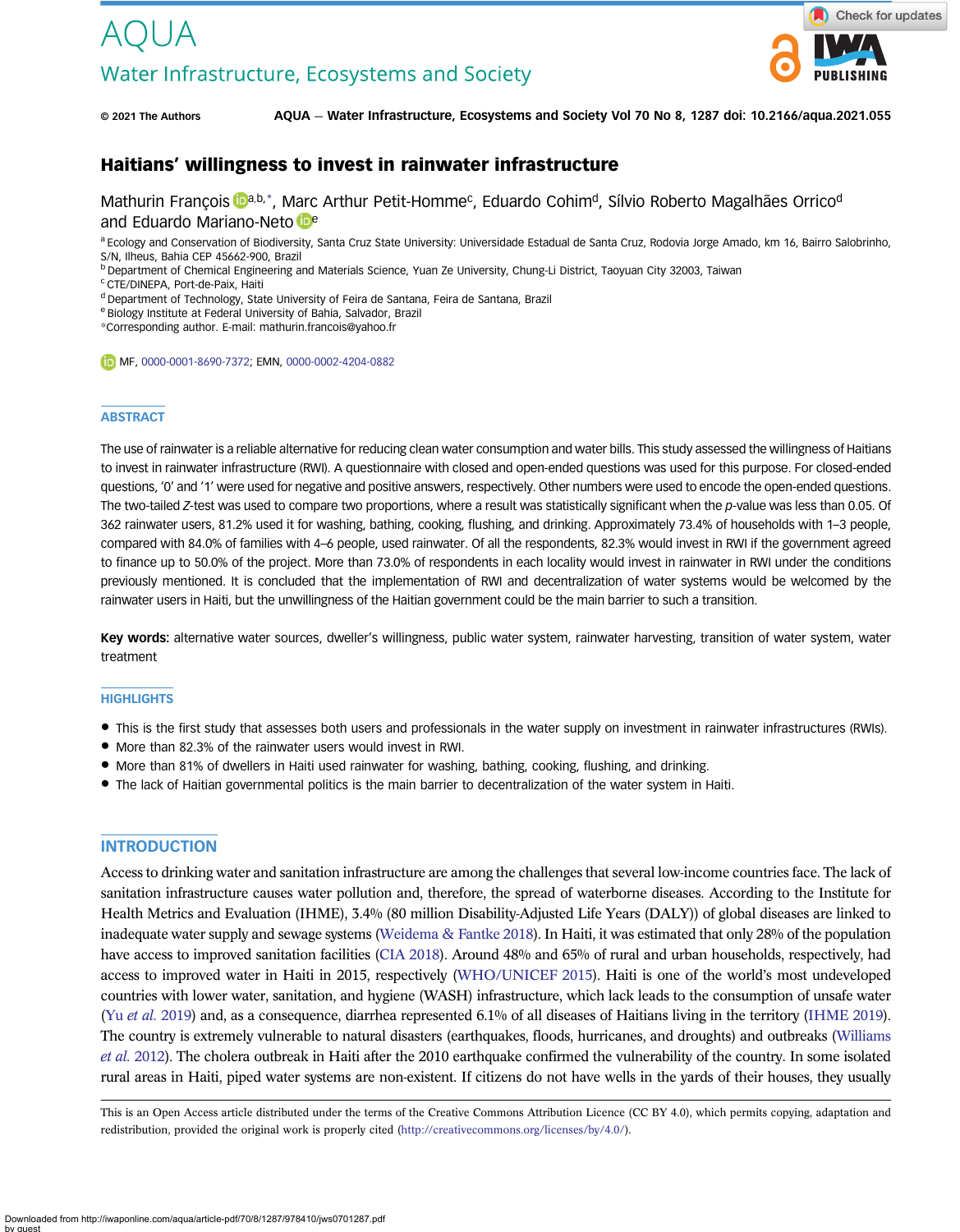# Water Infrastructure, Ecosystems and Society



© 2021 The Authors AQUA — Water Infrastructure, Ecosystems and Society Vol 70 No 8, 1287 doi: 10.2166/aqua.2021.055

# Haitians' willingness to invest in rainwater infrastructure

M[a](https://orcid.org/0000-0001-8690-7372)thurin François **Dab,\*, Marc Arthur Petit-Homme<sup>c</sup>, Eduardo Cohim<sup>d</sup>, Sílvio Roberto Magalhães Orrico<sup>d</sup>** and Eduardo Mariano-Neto be

a Ecology and Conservation of Biodiversity, Santa Cruz State University: Universidade Estadual de Santa Cruz, Rodovia Jorge Amado, km 16, Bairro Salobrinho, S/N, Ilheus, Bahia CEP 45662-900, Brazil

<sup>b</sup> Department of Chemical Engineering and Materials Science, Yuan Ze University, Chung-Li District, Taoyuan City 32003, Taiwan

<sup>c</sup> CTE/DINEPA, Port-de-Paix, Haiti

<sup>d</sup> Department of Technology, State University of Feira de Santana, Feira de Santana, Brazil

<sup>e</sup> Biology Institute at Federal University of Bahia, Salvador, Brazil

\*Corresponding author. E-mail: [mathurin.francois@yahoo.fr](mailto:mathurin.francois@yahoo.fr)

MF, [0000-0001-8690-7372;](http://orcid.org/0000-0001-8690-7372) EMN, [0000-0002-4204-0882](http://orcid.org/0000-0002-4204-0882)

#### **ABSTRACT**

The use of rainwater is a reliable alternative for reducing clean water consumption and water bills. This study assessed the willingness of Haitians to invest in rainwater infrastructure (RWI). A questionnaire with closed and open-ended questions was used for this purpose. For closed-ended questions, '0' and '1' were used for negative and positive answers, respectively. Other numbers were used to encode the open-ended questions. The two-tailed Z-test was used to compare two proportions, where a result was statistically significant when the p-value was less than 0.05. Of 362 rainwater users, 81.2% used it for washing, bathing, cooking, flushing, and drinking. Approximately 73.4% of households with 1–3 people, compared with 84.0% of families with 4–6 people, used rainwater. Of all the respondents, 82.3% would invest in RWI if the government agreed to finance up to 50.0% of the project. More than 73.0% of respondents in each locality would invest in rainwater in RWI under the conditions previously mentioned. It is concluded that the implementation of RWI and decentralization of water systems would be welcomed by the rainwater users in Haiti, but the unwillingness of the Haitian government could be the main barrier to such a transition.

Key words: alternative water sources, dweller's willingness, public water system, rainwater harvesting, transition of water system, water treatment

#### **HIGHLIGHTS**

- This is the first study that assesses both users and professionals in the water supply on investment in rainwater infrastructures (RWIs).
- More than 82.3% of the rainwater users would invest in RWI.
- More than 81% of dwellers in Haiti used rainwater for washing, bathing, cooking, flushing, and drinking.
- The lack of Haitian governmental politics is the main barrier to decentralization of the water system in Haiti.

### **INTRODUCTION**

Access to drinking water and sanitation infrastructure are among the challenges that several low-income countries face. The lack of sanitation infrastructure causes water pollution and, therefore, the spread of waterborne diseases. According to the Institute for Health Metrics and Evaluation (IHME), 3.4% (80 million Disability-Adjusted Life Years (DALY)) of global diseases are linked to inadequate water supply and sewage systems [\(Weidema & Fantke 2018\)](#page-12-0). In Haiti, it was estimated that only 28% of the population have access to improved sanitation facilities [\(CIA 2018](#page-11-0)). Around 48% and 65% of rural and urban households, respectively, had access to improved water in Haiti in 2015, respectively [\(WHO/UNICEF 2015](#page-12-0)). Haiti is one of the world's most undeveloped countries with lower water, sanitation, and hygiene (WASH) infrastructure, which lack leads to the consumption of unsafe water (Yu et al. [2019\)](#page-13-0) and, as a consequence, diarrhea represented 6.1% of all diseases of Haitians living in the territory [\(IHME 2019\)](#page-12-0). The country is extremely vulnerable to natural disasters (earthquakes, floods, hurricanes, and droughts) and outbreaks [\(Williams](#page-12-0) et al. [2012\)](#page-12-0). The cholera outbreak in Haiti after the 2010 earthquake confirmed the vulnerability of the country. In some isolated rural areas in Haiti, piped water systems are non-existent. If citizens do not have wells in the yards of their houses, they usually

This is an Open Access article distributed under the terms of the Creative Commons Attribution Licence (CC BY 4.0), which permits copying, adaptation and redistribution, provided the original work is properly cited ([http://creativecommons.org/licenses/by/4.0/\)](http://creativecommons.org/licenses/by/4.0/).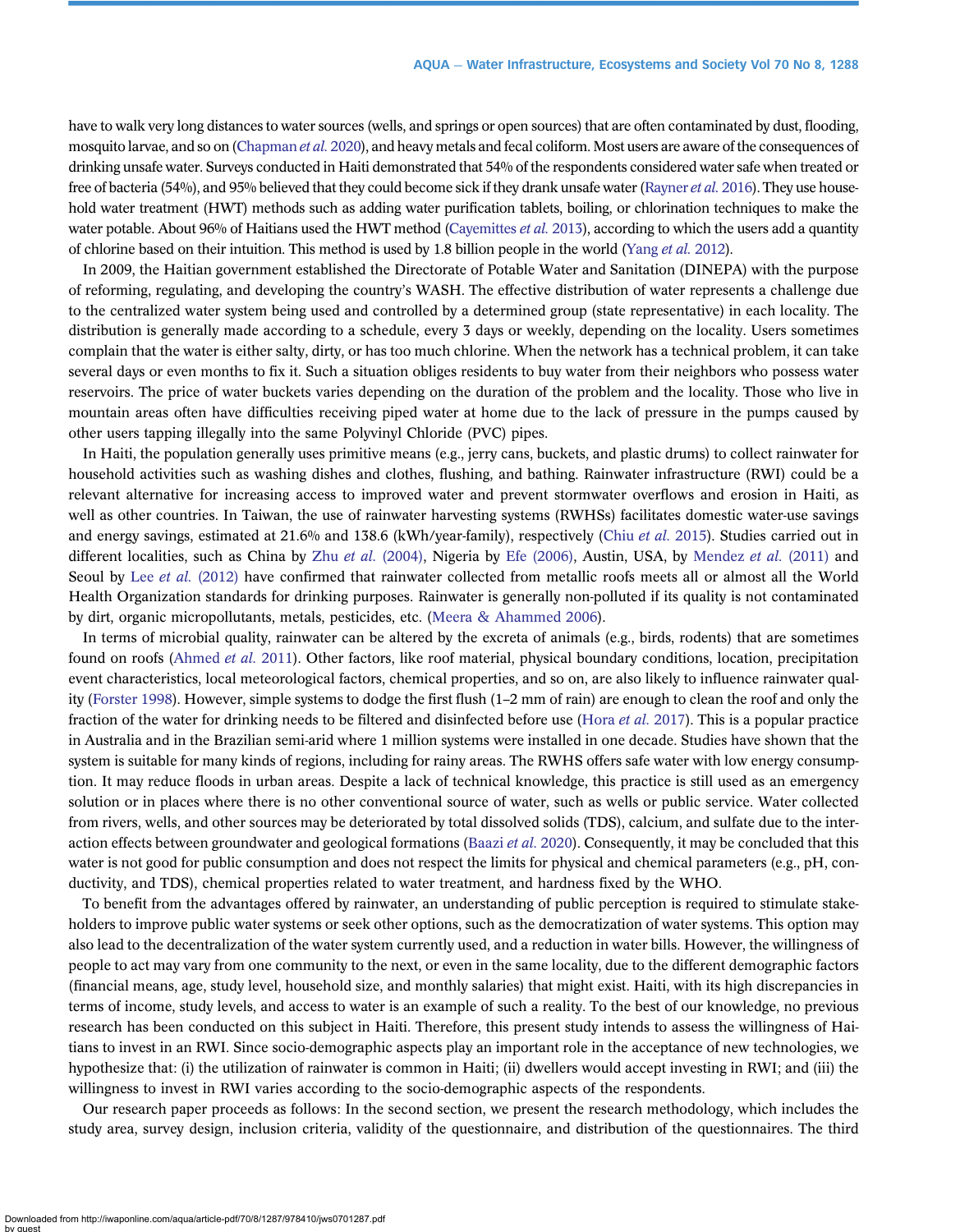have to walk very long distances to water sources (wells, and springs or open sources) that are often contaminated by dust, flooding, mosquito larvae, and so on [\(Chapman](#page-11-0) *et al.* 2020), and heavy metals and fecal coliform. Most users are aware of the consequences of drinking unsafe water. Surveys conducted in Haiti demonstrated that 54% of the respondents considered water safe when treated or free of bacteria (54%), and 95% believed that they could become sick if they drank unsafe water [\(Rayner](#page-12-0) et al. 2016). They use household water treatment (HWT) methods such as adding water purification tablets, boiling, or chlorination techniques to make the water potable. About 96% of Haitians used the HWT method [\(Cayemittes](#page-11-0) et al. 2013), according to which the users add a quantity of chlorine based on their intuition. This method is used by 1.8 billion people in the world ([Yang](#page-12-0) et al. 2012).

In 2009, the Haitian government established the Directorate of Potable Water and Sanitation (DINEPA) with the purpose of reforming, regulating, and developing the country's WASH. The effective distribution of water represents a challenge due to the centralized water system being used and controlled by a determined group (state representative) in each locality. The distribution is generally made according to a schedule, every 3 days or weekly, depending on the locality. Users sometimes complain that the water is either salty, dirty, or has too much chlorine. When the network has a technical problem, it can take several days or even months to fix it. Such a situation obliges residents to buy water from their neighbors who possess water reservoirs. The price of water buckets varies depending on the duration of the problem and the locality. Those who live in mountain areas often have difficulties receiving piped water at home due to the lack of pressure in the pumps caused by other users tapping illegally into the same Polyvinyl Chloride (PVC) pipes.

In Haiti, the population generally uses primitive means (e.g., jerry cans, buckets, and plastic drums) to collect rainwater for household activities such as washing dishes and clothes, flushing, and bathing. Rainwater infrastructure (RWI) could be a relevant alternative for increasing access to improved water and prevent stormwater overflows and erosion in Haiti, as well as other countries. In Taiwan, the use of rainwater harvesting systems (RWHSs) facilitates domestic water-use savings and energy savings, estimated at 21.6% and 138.6 (kWh/year-family), respectively (Chiu [et al.](#page-11-0) 2015). Studies carried out in different localities, such as China by Zhu et al. [\(2004\),](#page-13-0) Nigeria by [Efe \(2006\)](#page-11-0), Austin, USA, by [Mendez](#page-12-0) et al. (2011) and Seoul by Lee et al. [\(2012\)](#page-12-0) have confirmed that rainwater collected from metallic roofs meets all or almost all the World Health Organization standards for drinking purposes. Rainwater is generally non-polluted if its quality is not contaminated by dirt, organic micropollutants, metals, pesticides, etc. [\(Meera & Ahammed 2006](#page-12-0)).

In terms of microbial quality, rainwater can be altered by the excreta of animals (e.g., birds, rodents) that are sometimes found on roofs [\(Ahmed](#page-11-0) et al. 2011). Other factors, like roof material, physical boundary conditions, location, precipitation event characteristics, local meteorological factors, chemical properties, and so on, are also likely to influence rainwater quality ([Forster 1998](#page-11-0)). However, simple systems to dodge the first flush (1–2 mm of rain) are enough to clean the roof and only the fraction of the water for drinking needs to be filtered and disinfected before use [\(Hora](#page-12-0) *et al.* 2017). This is a popular practice in Australia and in the Brazilian semi-arid where 1 million systems were installed in one decade. Studies have shown that the system is suitable for many kinds of regions, including for rainy areas. The RWHS offers safe water with low energy consumption. It may reduce floods in urban areas. Despite a lack of technical knowledge, this practice is still used as an emergency solution or in places where there is no other conventional source of water, such as wells or public service. Water collected from rivers, wells, and other sources may be deteriorated by total dissolved solids (TDS), calcium, and sulfate due to the inter-action effects between groundwater and geological formations [\(Baazi](#page-11-0) *et al.* 2020). Consequently, it may be concluded that this water is not good for public consumption and does not respect the limits for physical and chemical parameters (e.g., pH, conductivity, and TDS), chemical properties related to water treatment, and hardness fixed by the WHO.

To benefit from the advantages offered by rainwater, an understanding of public perception is required to stimulate stakeholders to improve public water systems or seek other options, such as the democratization of water systems. This option may also lead to the decentralization of the water system currently used, and a reduction in water bills. However, the willingness of people to act may vary from one community to the next, or even in the same locality, due to the different demographic factors (financial means, age, study level, household size, and monthly salaries) that might exist. Haiti, with its high discrepancies in terms of income, study levels, and access to water is an example of such a reality. To the best of our knowledge, no previous research has been conducted on this subject in Haiti. Therefore, this present study intends to assess the willingness of Haitians to invest in an RWI. Since socio-demographic aspects play an important role in the acceptance of new technologies, we hypothesize that: (i) the utilization of rainwater is common in Haiti; (ii) dwellers would accept investing in RWI; and (iii) the willingness to invest in RWI varies according to the socio-demographic aspects of the respondents.

Our research paper proceeds as follows: In the second section, we present the research methodology, which includes the study area, survey design, inclusion criteria, validity of the questionnaire, and distribution of the questionnaires. The third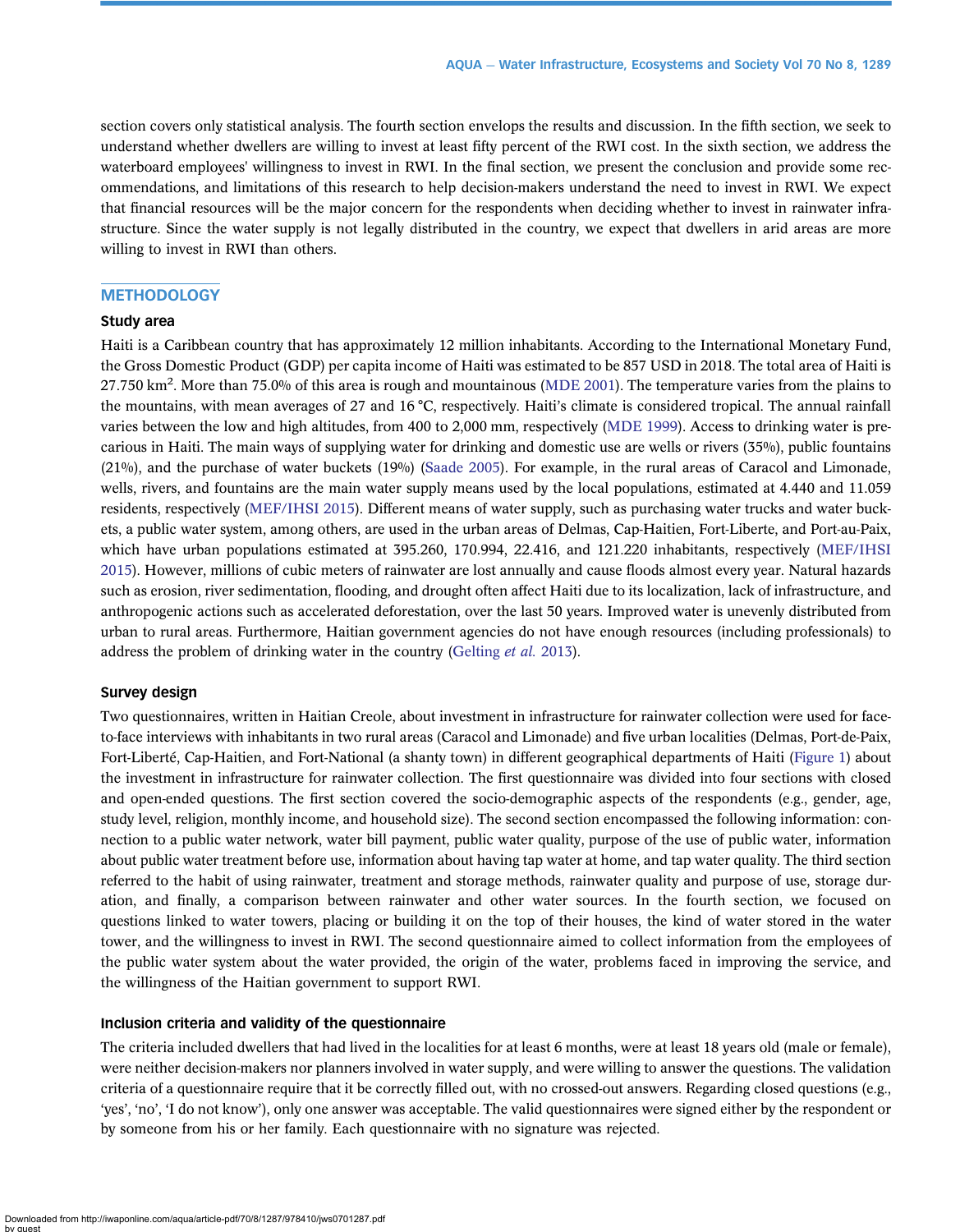section covers only statistical analysis. The fourth section envelops the results and discussion. In the fifth section, we seek to understand whether dwellers are willing to invest at least fifty percent of the RWI cost. In the sixth section, we address the waterboard employees' willingness to invest in RWI. In the final section, we present the conclusion and provide some recommendations, and limitations of this research to help decision-makers understand the need to invest in RWI. We expect that financial resources will be the major concern for the respondents when deciding whether to invest in rainwater infrastructure. Since the water supply is not legally distributed in the country, we expect that dwellers in arid areas are more willing to invest in RWI than others.

# **METHODOLOGY**

### Study area

Haiti is a Caribbean country that has approximately 12 million inhabitants. According to the International Monetary Fund, the Gross Domestic Product (GDP) per capita income of Haiti was estimated to be 857 USD in 2018. The total area of Haiti is 27.750 km<sup>2</sup>. More than 75.0% of this area is rough and mountainous [\(MDE 2001\)](#page-12-0). The temperature varies from the plains to the mountains, with mean averages of 27 and 16 °C, respectively. Haiti's climate is considered tropical. The annual rainfall varies between the low and high altitudes, from 400 to 2,000 mm, respectively ([MDE 1999](#page-12-0)). Access to drinking water is precarious in Haiti. The main ways of supplying water for drinking and domestic use are wells or rivers (35%), public fountains (21%), and the purchase of water buckets (19%) [\(Saade 2005\)](#page-12-0). For example, in the rural areas of Caracol and Limonade, wells, rivers, and fountains are the main water supply means used by the local populations, estimated at 4.440 and 11.059 residents, respectively [\(MEF/IHSI 2015](#page-12-0)). Different means of water supply, such as purchasing water trucks and water buckets, a public water system, among others, are used in the urban areas of Delmas, Cap-Haitien, Fort-Liberte, and Port-au-Paix, which have urban populations estimated at 395.260, 170.994, 22.416, and 121.220 inhabitants, respectively [\(MEF/IHSI](#page-12-0) [2015\)](#page-12-0). However, millions of cubic meters of rainwater are lost annually and cause floods almost every year. Natural hazards such as erosion, river sedimentation, flooding, and drought often affect Haiti due to its localization, lack of infrastructure, and anthropogenic actions such as accelerated deforestation, over the last 50 years. Improved water is unevenly distributed from urban to rural areas. Furthermore, Haitian government agencies do not have enough resources (including professionals) to address the problem of drinking water in the country [\(Gelting](#page-12-0) et al. 2013).

### Survey design

Two questionnaires, written in Haitian Creole, about investment in infrastructure for rainwater collection were used for faceto-face interviews with inhabitants in two rural areas (Caracol and Limonade) and five urban localities (Delmas, Port-de-Paix, Fort-Liberté, Cap-Haitien, and Fort-National (a shanty town) in different geographical departments of Haiti [\(Figure 1](#page-3-0)) about the investment in infrastructure for rainwater collection. The first questionnaire was divided into four sections with closed and open-ended questions. The first section covered the socio-demographic aspects of the respondents (e.g., gender, age, study level, religion, monthly income, and household size). The second section encompassed the following information: connection to a public water network, water bill payment, public water quality, purpose of the use of public water, information about public water treatment before use, information about having tap water at home, and tap water quality. The third section referred to the habit of using rainwater, treatment and storage methods, rainwater quality and purpose of use, storage duration, and finally, a comparison between rainwater and other water sources. In the fourth section, we focused on questions linked to water towers, placing or building it on the top of their houses, the kind of water stored in the water tower, and the willingness to invest in RWI. The second questionnaire aimed to collect information from the employees of the public water system about the water provided, the origin of the water, problems faced in improving the service, and the willingness of the Haitian government to support RWI.

#### Inclusion criteria and validity of the questionnaire

The criteria included dwellers that had lived in the localities for at least 6 months, were at least 18 years old (male or female), were neither decision-makers nor planners involved in water supply, and were willing to answer the questions. The validation criteria of a questionnaire require that it be correctly filled out, with no crossed-out answers. Regarding closed questions (e.g., 'yes', 'no', 'I do not know'), only one answer was acceptable. The valid questionnaires were signed either by the respondent or by someone from his or her family. Each questionnaire with no signature was rejected.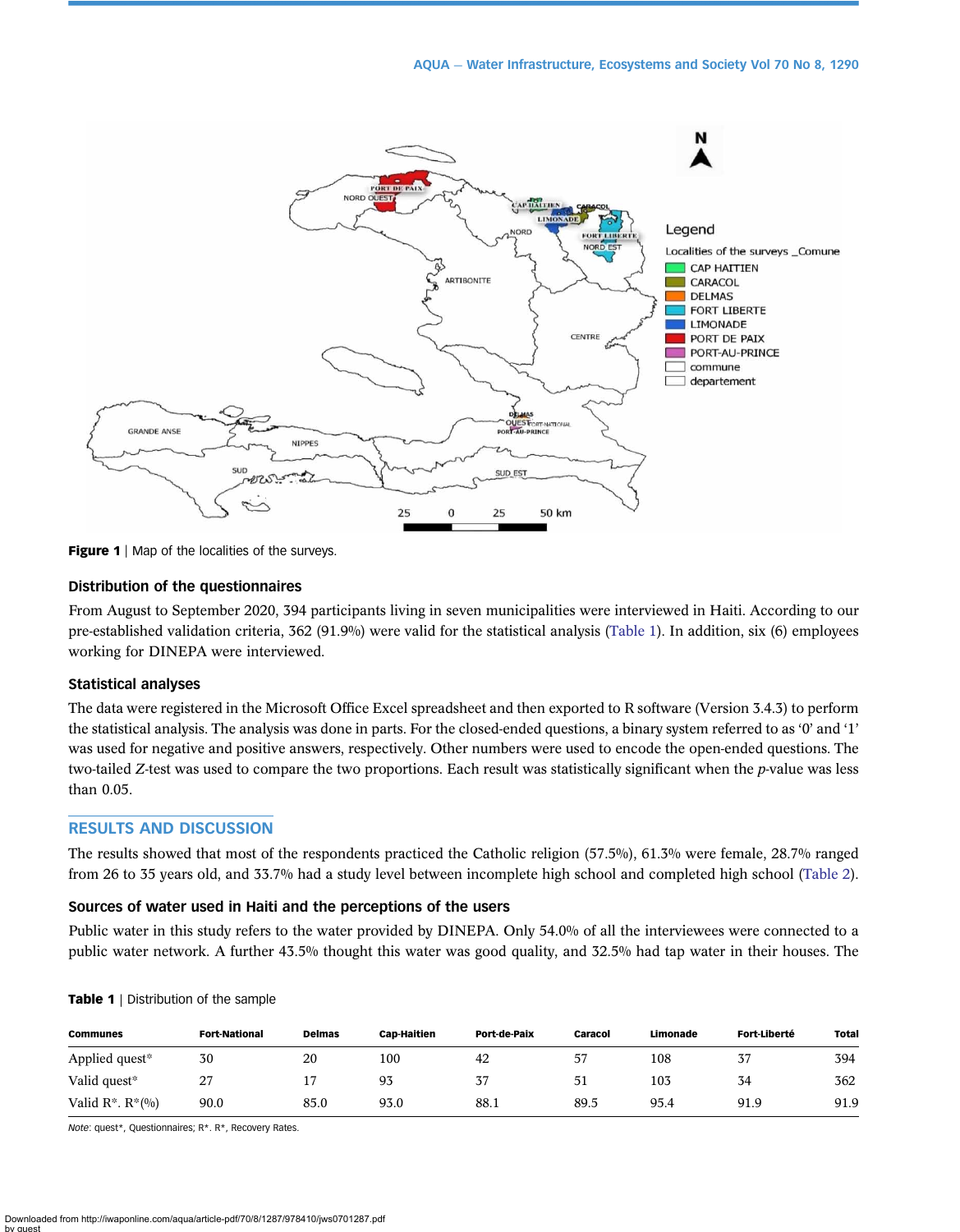<span id="page-3-0"></span>

Figure 1 | Map of the localities of the surveys.

### Distribution of the questionnaires

From August to September 2020, 394 participants living in seven municipalities were interviewed in Haiti. According to our pre-established validation criteria, 362 (91.9%) were valid for the statistical analysis (Table 1). In addition, six (6) employees working for DINEPA were interviewed.

#### Statistical analyses

The data were registered in the Microsoft Office Excel spreadsheet and then exported to R software (Version 3.4.3) to perform the statistical analysis. The analysis was done in parts. For the closed-ended questions, a binary system referred to as '0' and '1' was used for negative and positive answers, respectively. Other numbers were used to encode the open-ended questions. The two-tailed Z-test was used to compare the two proportions. Each result was statistically significant when the p-value was less than 0.05.

# RESULTS AND DISCUSSION

The results showed that most of the respondents practiced the Catholic religion (57.5%), 61.3% were female, 28.7% ranged from 26 to 35 years old, and 33.7% had a study level between incomplete high school and completed high school [\(Table 2](#page-4-0)).

# Sources of water used in Haiti and the perceptions of the users

Public water in this study refers to the water provided by DINEPA. Only 54.0% of all the interviewees were connected to a public water network. A further 43.5% thought this water was good quality, and 32.5% had tap water in their houses. The

| <b>Communes</b>         | <b>Fort-National</b> | <b>Delmas</b> | <b>Cap-Haitien</b> | Port-de-Paix | Caracol | Limonade | <b>Fort Liberté</b> | <b>Total</b> |
|-------------------------|----------------------|---------------|--------------------|--------------|---------|----------|---------------------|--------------|
| Applied quest*          | 30                   | 20            | 100                | 42           | 57      | 108      | 37                  | 394          |
| Valid quest*            | 27                   |               | 93                 | 37           | 51      | 103      | 34                  | 362          |
| Valid $R^*$ . $R^*(\%)$ | 90.0                 | 85.0          | 93.0               | 88.1         | 89.5    | 95.4     | 91.9                | 91.9         |

#### Table 1 | Distribution of the sample

Note: quest\*, Questionnaires; R\*. R\*, Recovery Rates.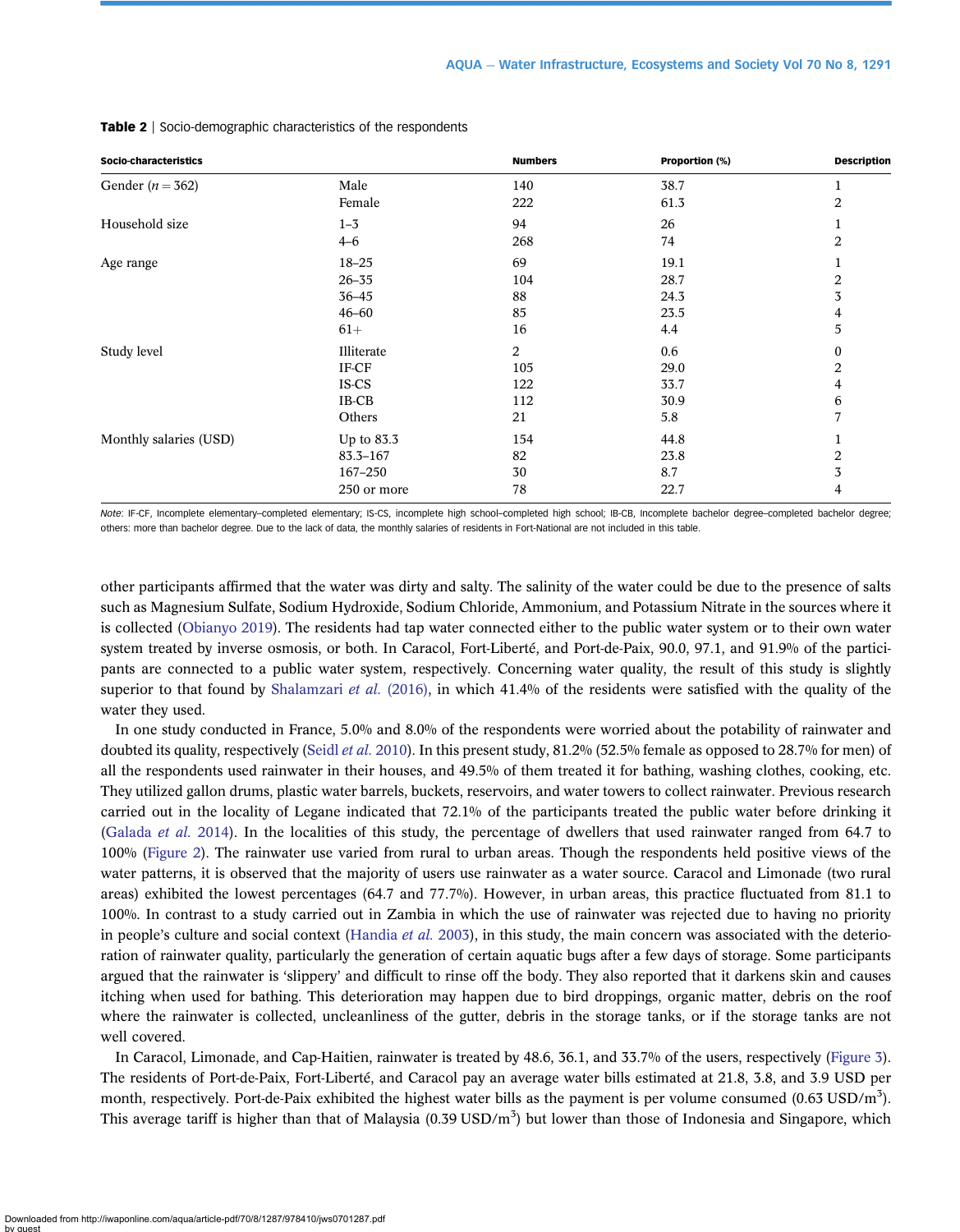| Socio-characteristics  |                                                           | <b>Numbers</b>              | Proportion (%)                      | <b>Description</b> |
|------------------------|-----------------------------------------------------------|-----------------------------|-------------------------------------|--------------------|
| Gender ( $n = 362$ )   | Male                                                      | 140                         | 38.7                                | 1                  |
|                        | Female                                                    | 222                         | 61.3                                | 2                  |
| Household size         | $1 - 3$                                                   | 94                          | 26                                  | 1                  |
|                        | $4 - 6$                                                   | 268                         | 74                                  | 2                  |
| Age range              | $18 - 25$<br>$26 - 35$<br>$36 - 45$<br>$46 - 60$<br>$61+$ | 69<br>104<br>88<br>85<br>16 | 19.1<br>28.7<br>24.3<br>23.5<br>4.4 | 2<br>3<br>4<br>5   |
| Study level            | Illiterate                                                | 2                           | 0.6                                 | $\boldsymbol{0}$   |
|                        | IF-CF                                                     | 105                         | 29.0                                | 2                  |
|                        | IS-CS                                                     | 122                         | 33.7                                | 4                  |
|                        | IB-CB                                                     | 112                         | 30.9                                | 6                  |
|                        | Others                                                    | 21                          | 5.8                                 | 7                  |
| Monthly salaries (USD) | Up to 83.3                                                | 154                         | 44.8                                | 1                  |
|                        | $83.3 - 167$                                              | 82                          | 23.8                                | 2                  |
|                        | 167-250                                                   | 30                          | 8.7                                 | 3                  |
|                        | 250 or more                                               | 78                          | 22.7                                | 4                  |

#### <span id="page-4-0"></span>Table 2 | Socio-demographic characteristics of the respondents

Note: IF-CF, Incomplete elementary–completed elementary; IS-CS, incomplete high school–completed high school; IB-CB, Incomplete bachelor degree–completed bachelor degree; others: more than bachelor degree. Due to the lack of data, the monthly salaries of residents in Fort-National are not included in this table.

other participants affirmed that the water was dirty and salty. The salinity of the water could be due to the presence of salts such as Magnesium Sulfate, Sodium Hydroxide, Sodium Chloride, Ammonium, and Potassium Nitrate in the sources where it is collected ([Obianyo 2019](#page-12-0)). The residents had tap water connected either to the public water system or to their own water system treated by inverse osmosis, or both. In Caracol, Fort-Liberté, and Port-de-Paix, 90.0, 97.1, and 91.9% of the participants are connected to a public water system, respectively. Concerning water quality, the result of this study is slightly superior to that found by [Shalamzari](#page-12-0) *et al.* (2016), in which 41.4% of the residents were satisfied with the quality of the water they used.

In one study conducted in France, 5.0% and 8.0% of the respondents were worried about the potability of rainwater and doubted its quality, respectively (Seidl et al. [2010\)](#page-12-0). In this present study, 81.2% (52.5% female as opposed to 28.7% for men) of all the respondents used rainwater in their houses, and 49.5% of them treated it for bathing, washing clothes, cooking, etc. They utilized gallon drums, plastic water barrels, buckets, reservoirs, and water towers to collect rainwater. Previous research carried out in the locality of Legane indicated that 72.1% of the participants treated the public water before drinking it [\(Galada](#page-11-0) *et al.* 2014). In the localities of this study, the percentage of dwellers that used rainwater ranged from 64.7 to 100% [\(Figure 2\)](#page-5-0). The rainwater use varied from rural to urban areas. Though the respondents held positive views of the water patterns, it is observed that the majority of users use rainwater as a water source. Caracol and Limonade (two rural areas) exhibited the lowest percentages (64.7 and 77.7%). However, in urban areas, this practice fluctuated from 81.1 to 100%. In contrast to a study carried out in Zambia in which the use of rainwater was rejected due to having no priority in people's culture and social context [\(Handia](#page-12-0) *et al.* 2003), in this study, the main concern was associated with the deterioration of rainwater quality, particularly the generation of certain aquatic bugs after a few days of storage. Some participants argued that the rainwater is 'slippery' and difficult to rinse off the body. They also reported that it darkens skin and causes itching when used for bathing. This deterioration may happen due to bird droppings, organic matter, debris on the roof where the rainwater is collected, uncleanliness of the gutter, debris in the storage tanks, or if the storage tanks are not well covered.

In Caracol, Limonade, and Cap-Haitien, rainwater is treated by 48.6, 36.1, and 33.7% of the users, respectively [\(Figure 3\)](#page-5-0). The residents of Port-de-Paix, Fort-Liberté, and Caracol pay an average water bills estimated at 21.8, 3.8, and 3.9 USD per month, respectively. Port-de-Paix exhibited the highest water bills as the payment is per volume consumed (0.63 USD/m<sup>3</sup>). This average tariff is higher than that of Malaysia (0.39 USD/m<sup>3</sup>) but lower than those of Indonesia and Singapore, which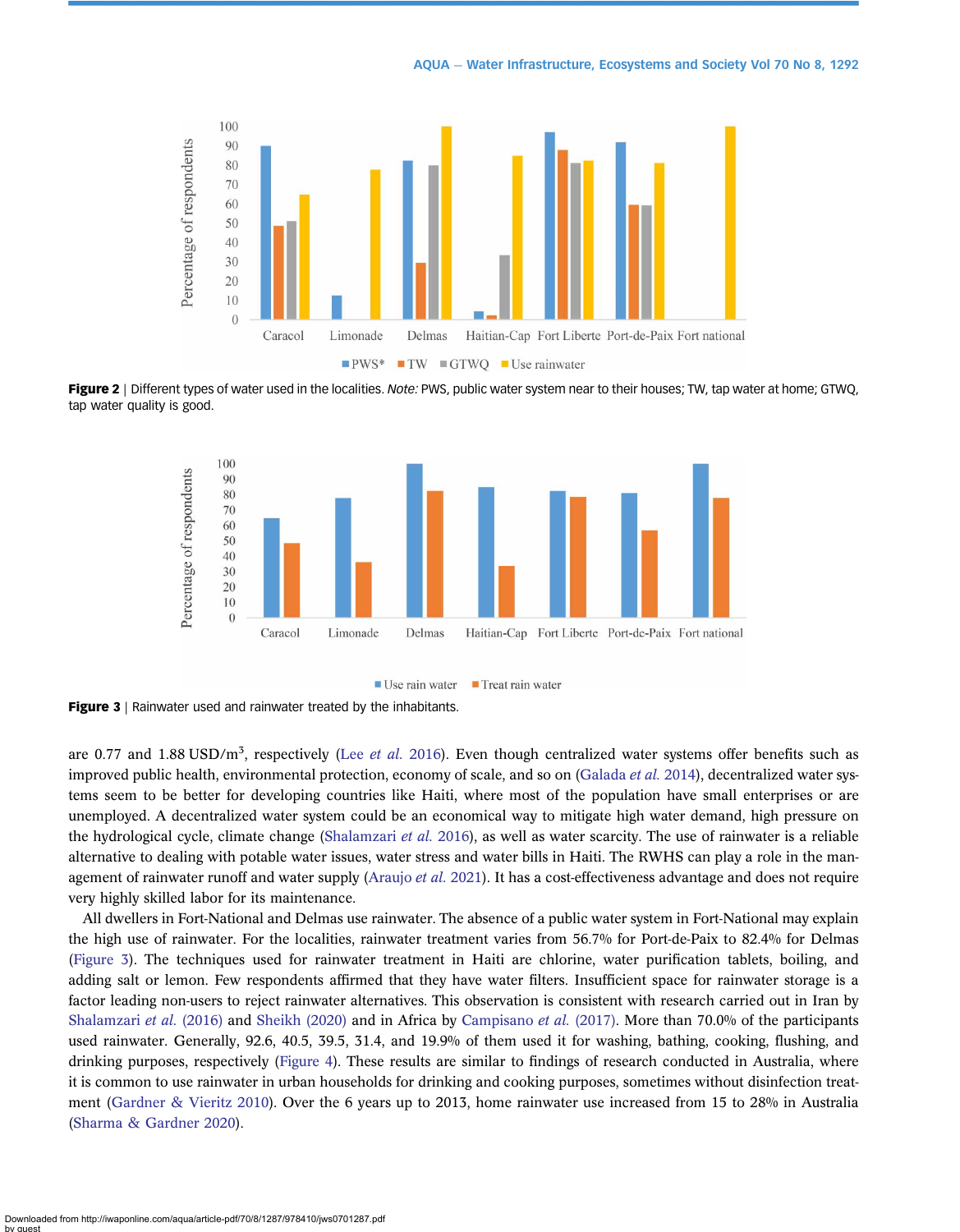<span id="page-5-0"></span>

Figure 2 | Different types of water used in the localities. Note: PWS, public water system near to their houses; TW, tap water at home; GTWQ, tap water quality is good.





are 0.77 and 1.88 USD/m<sup>3</sup>, respectively (Lee [et al.](#page-12-0) 2016). Even though centralized water systems offer benefits such as improved public health, environmental protection, economy of scale, and so on [\(Galada](#page-11-0) *et al.* 2014), decentralized water systems seem to be better for developing countries like Haiti, where most of the population have small enterprises or are unemployed. A decentralized water system could be an economical way to mitigate high water demand, high pressure on the hydrological cycle, climate change ([Shalamzari](#page-12-0) et al. 2016), as well as water scarcity. The use of rainwater is a reliable alternative to dealing with potable water issues, water stress and water bills in Haiti. The RWHS can play a role in the man-agement of rainwater runoff and water supply [\(Araujo](#page-11-0) et al. 2021). It has a cost-effectiveness advantage and does not require very highly skilled labor for its maintenance.

All dwellers in Fort-National and Delmas use rainwater. The absence of a public water system in Fort-National may explain the high use of rainwater. For the localities, rainwater treatment varies from 56.7% for Port-de-Paix to 82.4% for Delmas (Figure 3). The techniques used for rainwater treatment in Haiti are chlorine, water purification tablets, boiling, and adding salt or lemon. Few respondents affirmed that they have water filters. Insufficient space for rainwater storage is a factor leading non-users to reject rainwater alternatives. This observation is consistent with research carried out in Iran by [Shalamzari](#page-12-0) et al. (2016) and [Sheikh \(2020\)](#page-12-0) and in Africa by [Campisano](#page-11-0) et al. (2017). More than 70.0% of the participants used rainwater. Generally, 92.6, 40.5, 39.5, 31.4, and 19.9% of them used it for washing, bathing, cooking, flushing, and drinking purposes, respectively [\(Figure 4](#page-6-0)). These results are similar to findings of research conducted in Australia, where it is common to use rainwater in urban households for drinking and cooking purposes, sometimes without disinfection treatment ([Gardner & Vieritz 2010\)](#page-11-0). Over the 6 years up to 2013, home rainwater use increased from 15 to 28% in Australia ([Sharma & Gardner 2020](#page-12-0)).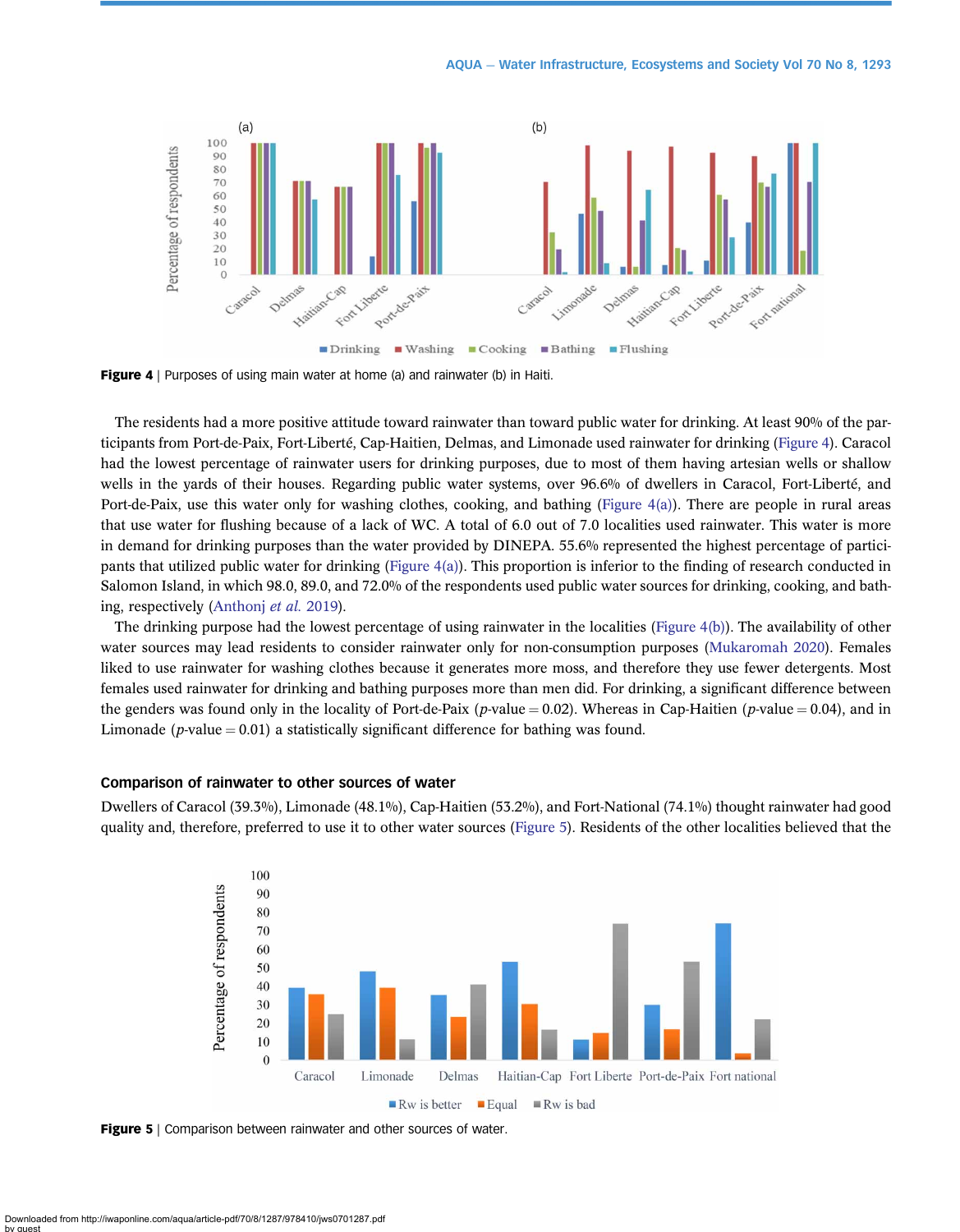<span id="page-6-0"></span>

Figure 4 | Purposes of using main water at home (a) and rainwater (b) in Haiti.

The residents had a more positive attitude toward rainwater than toward public water for drinking. At least 90% of the participants from Port-de-Paix, Fort-Liberté, Cap-Haitien, Delmas, and Limonade used rainwater for drinking (Figure 4). Caracol had the lowest percentage of rainwater users for drinking purposes, due to most of them having artesian wells or shallow wells in the yards of their houses. Regarding public water systems, over 96.6% of dwellers in Caracol, Fort-Liberté, and Port-de-Paix, use this water only for washing clothes, cooking, and bathing (Figure 4(a)). There are people in rural areas that use water for flushing because of a lack of WC. A total of 6.0 out of 7.0 localities used rainwater. This water is more in demand for drinking purposes than the water provided by DINEPA. 55.6% represented the highest percentage of participants that utilized public water for drinking (Figure 4(a)). This proportion is inferior to the finding of research conducted in Salomon Island, in which 98.0, 89.0, and 72.0% of the respondents used public water sources for drinking, cooking, and bathing, respectively [\(Anthonj](#page-11-0) et al. 2019).

The drinking purpose had the lowest percentage of using rainwater in the localities (Figure 4(b)). The availability of other water sources may lead residents to consider rainwater only for non-consumption purposes [\(Mukaromah 2020\)](#page-12-0). Females liked to use rainwater for washing clothes because it generates more moss, and therefore they use fewer detergents. Most females used rainwater for drinking and bathing purposes more than men did. For drinking, a significant difference between the genders was found only in the locality of Port-de-Paix (p-value = 0.02). Whereas in Cap-Haitien (p-value = 0.04), and in Limonade (*p*-value  $= 0.01$ ) a statistically significant difference for bathing was found.

# Comparison of rainwater to other sources of water

Dwellers of Caracol (39.3%), Limonade (48.1%), Cap-Haitien (53.2%), and Fort-National (74.1%) thought rainwater had good quality and, therefore, preferred to use it to other water sources (Figure 5). Residents of the other localities believed that the



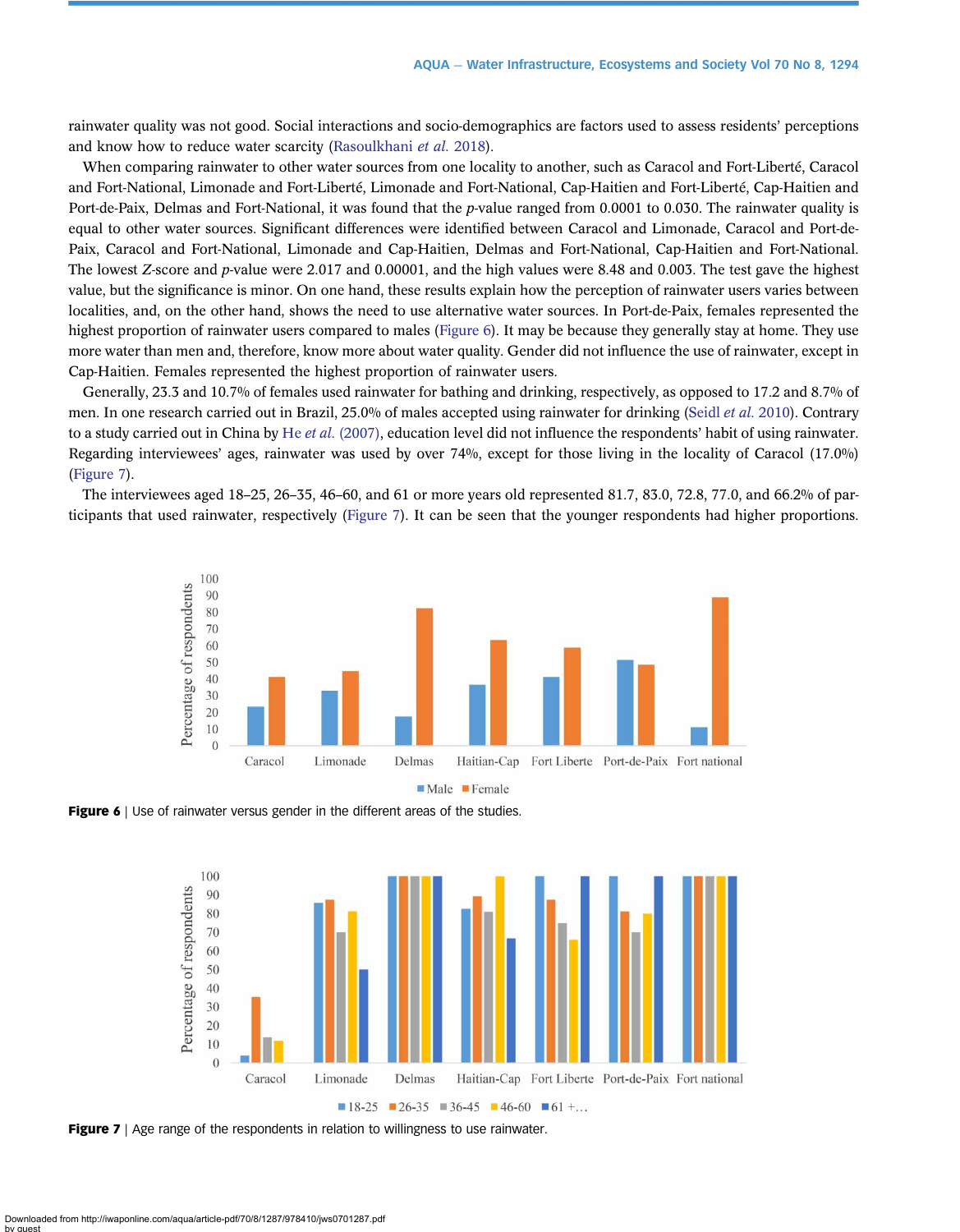rainwater quality was not good. Social interactions and socio-demographics are factors used to assess residents' perceptions and know how to reduce water scarcity ([Rasoulkhani](#page-12-0) et al. 2018).

When comparing rainwater to other water sources from one locality to another, such as Caracol and Fort-Liberté, Caracol and Fort-National, Limonade and Fort-Liberté, Limonade and Fort-National, Cap-Haitien and Fort-Liberté, Cap-Haitien and Port-de-Paix, Delmas and Fort-National, it was found that the p-value ranged from 0.0001 to 0.030. The rainwater quality is equal to other water sources. Significant differences were identified between Caracol and Limonade, Caracol and Port-de-Paix, Caracol and Fort-National, Limonade and Cap-Haitien, Delmas and Fort-National, Cap-Haitien and Fort-National. The lowest Z-score and p-value were 2.017 and 0.00001, and the high values were 8.48 and 0.003. The test gave the highest value, but the significance is minor. On one hand, these results explain how the perception of rainwater users varies between localities, and, on the other hand, shows the need to use alternative water sources. In Port-de-Paix, females represented the highest proportion of rainwater users compared to males (Figure 6). It may be because they generally stay at home. They use more water than men and, therefore, know more about water quality. Gender did not influence the use of rainwater, except in Cap-Haitien. Females represented the highest proportion of rainwater users.

Generally, 23.3 and 10.7% of females used rainwater for bathing and drinking, respectively, as opposed to 17.2 and 8.7% of men. In one research carried out in Brazil, 25.0% of males accepted using rainwater for drinking [\(Seidl](#page-12-0) *et al.* 2010). Contrary to a study carried out in China by He et al. [\(2007\)](#page-12-0), education level did not influence the respondents' habit of using rainwater. Regarding interviewees' ages, rainwater was used by over 74%, except for those living in the locality of Caracol (17.0%) (Figure 7).

The interviewees aged 18–25, 26–35, 46–60, and 61 or more years old represented 81.7, 83.0, 72.8, 77.0, and 66.2% of participants that used rainwater, respectively (Figure 7). It can be seen that the younger respondents had higher proportions.







**Figure 7** | Age range of the respondents in relation to willingness to use rainwater.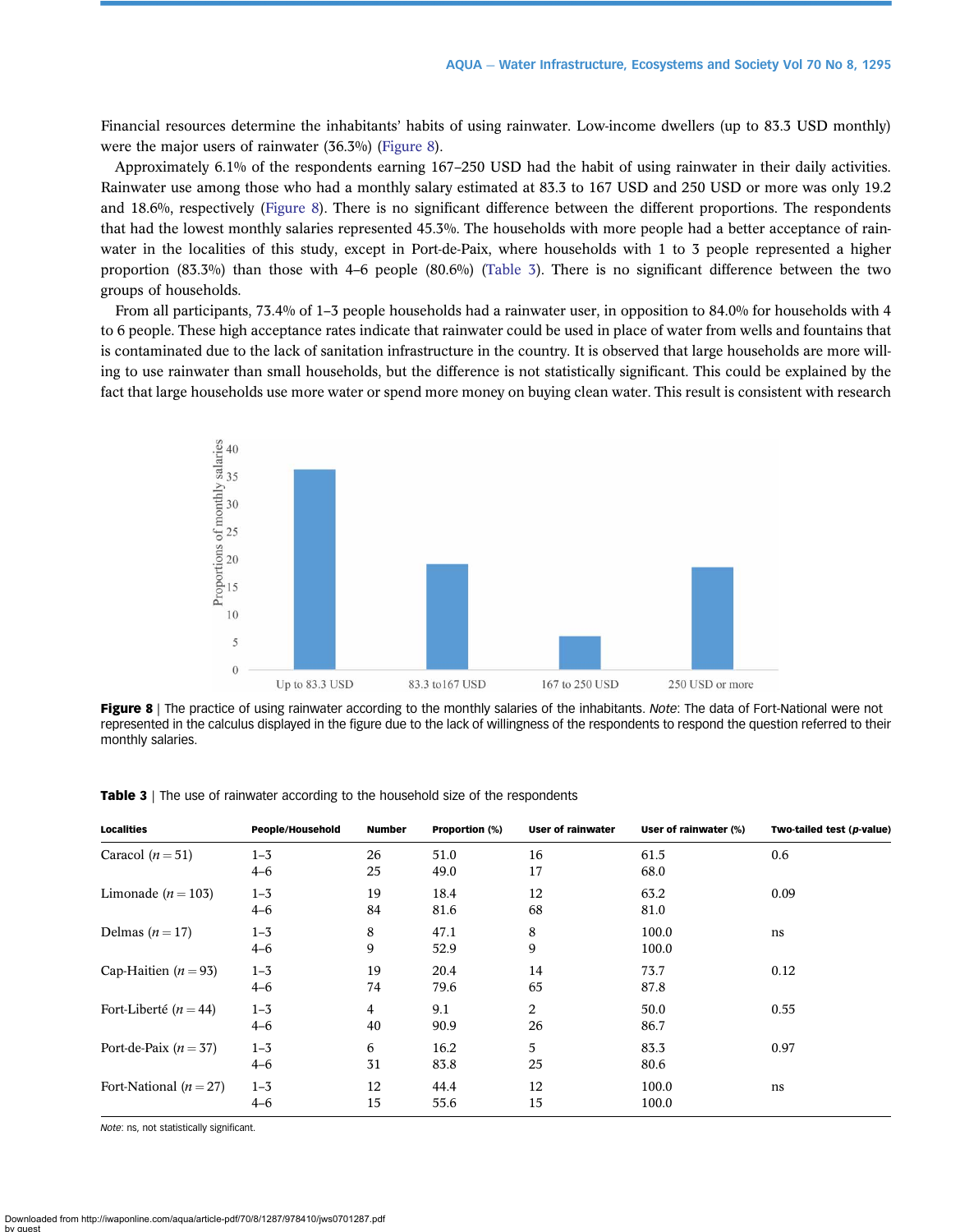Financial resources determine the inhabitants' habits of using rainwater. Low-income dwellers (up to 83.3 USD monthly) were the major users of rainwater (36.3%) (Figure 8).

Approximately 6.1% of the respondents earning 167–250 USD had the habit of using rainwater in their daily activities. Rainwater use among those who had a monthly salary estimated at 83.3 to 167 USD and 250 USD or more was only 19.2 and 18.6%, respectively (Figure 8). There is no significant difference between the different proportions. The respondents that had the lowest monthly salaries represented 45.3%. The households with more people had a better acceptance of rainwater in the localities of this study, except in Port-de-Paix, where households with 1 to 3 people represented a higher proportion (83.3%) than those with 4–6 people (80.6%) (Table 3). There is no significant difference between the two groups of households.

From all participants, 73.4% of 1–3 people households had a rainwater user, in opposition to 84.0% for households with 4 to 6 people. These high acceptance rates indicate that rainwater could be used in place of water from wells and fountains that is contaminated due to the lack of sanitation infrastructure in the country. It is observed that large households are more willing to use rainwater than small households, but the difference is not statistically significant. This could be explained by the fact that large households use more water or spend more money on buying clean water. This result is consistent with research



Figure 8 | The practice of using rainwater according to the monthly salaries of the inhabitants. Note: The data of Fort-National were not represented in the calculus displayed in the figure due to the lack of willingness of the respondents to respond the question referred to their monthly salaries.

| <b>Localities</b>         | People/Household   | <b>Number</b> | <b>Proportion (%)</b> | <b>User of rainwater</b> | User of rainwater (%) | Two-tailed test (p-value) |
|---------------------------|--------------------|---------------|-----------------------|--------------------------|-----------------------|---------------------------|
| Caracol $(n=51)$          | $1 - 3$<br>$4 - 6$ | 26<br>25      | 51.0<br>49.0          | 16<br>17                 | 61.5<br>68.0          | 0.6                       |
| Limonade ( $n = 103$ )    | $1 - 3$<br>$4 - 6$ | 19<br>84      | 18.4<br>81.6          | 12<br>68                 | 63.2<br>81.0          | 0.09                      |
| Delmas $(n=17)$           | $1 - 3$<br>$4 - 6$ | 8<br>9        | 47.1<br>52.9          | 8<br>9                   | 100.0<br>100.0        | ns                        |
| Cap-Haitien $(n = 93)$    | $1 - 3$<br>$4 - 6$ | 19<br>74      | 20.4<br>79.6          | 14<br>65                 | 73.7<br>87.8          | 0.12                      |
| Fort-Liberté ( $n = 44$ ) | $1 - 3$<br>$4 - 6$ | 4<br>40       | 9.1<br>90.9           | 2<br>26                  | 50.0<br>86.7          | 0.55                      |
| Port-de-Paix $(n = 37)$   | $1 - 3$<br>$4 - 6$ | 6<br>31       | 16.2<br>83.8          | 5<br>25                  | 83.3<br>80.6          | 0.97                      |
| Fort-National $(n=27)$    | $1 - 3$<br>$4 - 6$ | 12<br>15      | 44.4<br>55.6          | 12<br>15                 | 100.0<br>100.0        | ns                        |

Table 3 | The use of rainwater according to the household size of the respondents

Note: ns, not statistically significant.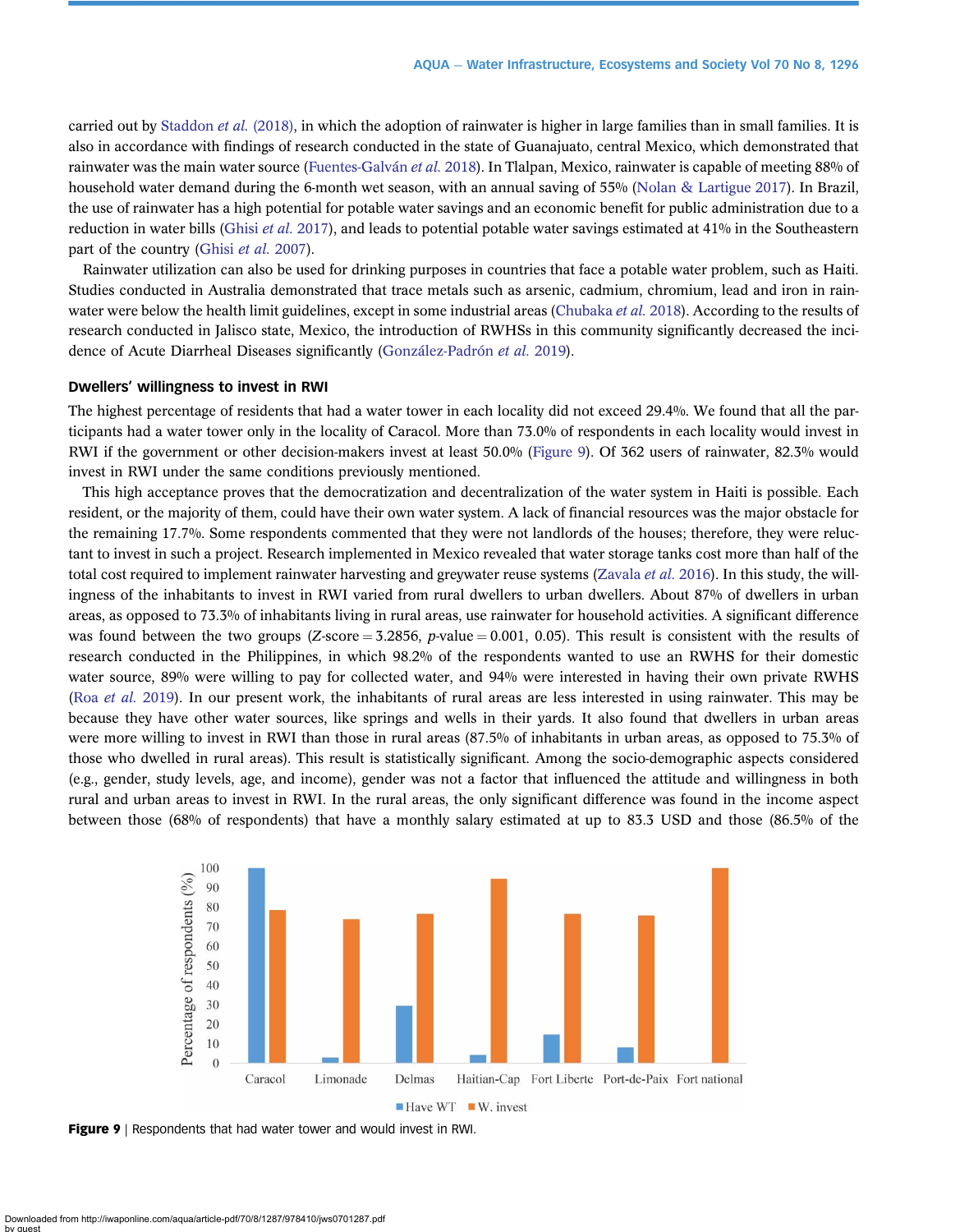carried out by [Staddon](#page-12-0) et al. (2018), in which the adoption of rainwater is higher in large families than in small families. It is also in accordance with findings of research conducted in the state of Guanajuato, central Mexico, which demonstrated that rainwater was the main water source ([Fuentes-Galván](#page-11-0) et al. 2018). In Tlalpan, Mexico, rainwater is capable of meeting 88% of household water demand during the 6-month wet season, with an annual saving of 55% [\(Nolan & Lartigue 2017\)](#page-12-0). In Brazil, the use of rainwater has a high potential for potable water savings and an economic benefit for public administration due to a reduction in water bills [\(Ghisi](#page-12-0) et al. 2017), and leads to potential potable water savings estimated at 41% in the Southeastern part of the country ([Ghisi](#page-12-0) et al. 2007).

Rainwater utilization can also be used for drinking purposes in countries that face a potable water problem, such as Haiti. Studies conducted in Australia demonstrated that trace metals such as arsenic, cadmium, chromium, lead and iron in rain-water were below the health limit guidelines, except in some industrial areas ([Chubaka](#page-11-0) *et al.* 2018). According to the results of research conducted in Jalisco state, Mexico, the introduction of RWHSs in this community significantly decreased the incidence of Acute Diarrheal Diseases significantly ([González-Padrón](#page-12-0) et al. 2019).

# Dwellers' willingness to invest in RWI

The highest percentage of residents that had a water tower in each locality did not exceed 29.4%. We found that all the participants had a water tower only in the locality of Caracol. More than 73.0% of respondents in each locality would invest in RWI if the government or other decision-makers invest at least 50.0% (Figure 9). Of 362 users of rainwater, 82.3% would invest in RWI under the same conditions previously mentioned.

This high acceptance proves that the democratization and decentralization of the water system in Haiti is possible. Each resident, or the majority of them, could have their own water system. A lack of financial resources was the major obstacle for the remaining 17.7%. Some respondents commented that they were not landlords of the houses; therefore, they were reluctant to invest in such a project. Research implemented in Mexico revealed that water storage tanks cost more than half of the total cost required to implement rainwater harvesting and greywater reuse systems [\(Zavala](#page-13-0) *et al.* 2016). In this study, the willingness of the inhabitants to invest in RWI varied from rural dwellers to urban dwellers. About 87% of dwellers in urban areas, as opposed to 73.3% of inhabitants living in rural areas, use rainwater for household activities. A significant difference was found between the two groups (Z-score = 3.2856, p-value = 0.001, 0.05). This result is consistent with the results of research conducted in the Philippines, in which 98.2% of the respondents wanted to use an RWHS for their domestic water source, 89% were willing to pay for collected water, and 94% were interested in having their own private RWHS (Roa [et al.](#page-12-0) 2019). In our present work, the inhabitants of rural areas are less interested in using rainwater. This may be because they have other water sources, like springs and wells in their yards. It also found that dwellers in urban areas were more willing to invest in RWI than those in rural areas (87.5% of inhabitants in urban areas, as opposed to 75.3% of those who dwelled in rural areas). This result is statistically significant. Among the socio-demographic aspects considered (e.g., gender, study levels, age, and income), gender was not a factor that influenced the attitude and willingness in both rural and urban areas to invest in RWI. In the rural areas, the only significant difference was found in the income aspect between those (68% of respondents) that have a monthly salary estimated at up to 83.3 USD and those (86.5% of the



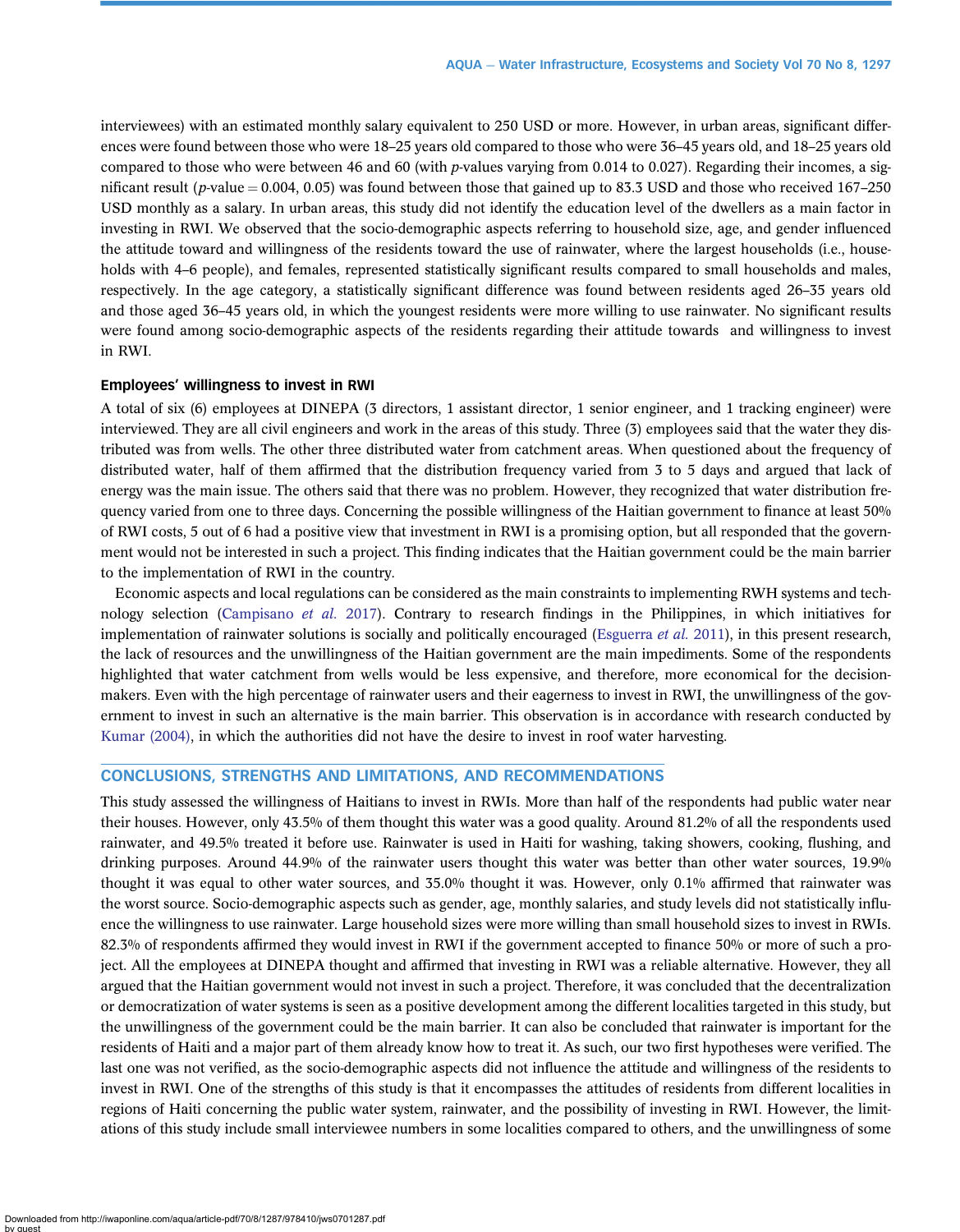interviewees) with an estimated monthly salary equivalent to 250 USD or more. However, in urban areas, significant differences were found between those who were 18–25 years old compared to those who were 36–45 years old, and 18–25 years old compared to those who were between 46 and 60 (with p-values varying from 0.014 to 0.027). Regarding their incomes, a significant result (p-value  $= 0.004$ , 0.05) was found between those that gained up to 83.3 USD and those who received 167–250 USD monthly as a salary. In urban areas, this study did not identify the education level of the dwellers as a main factor in investing in RWI. We observed that the socio-demographic aspects referring to household size, age, and gender influenced the attitude toward and willingness of the residents toward the use of rainwater, where the largest households (i.e., households with 4–6 people), and females, represented statistically significant results compared to small households and males, respectively. In the age category, a statistically significant difference was found between residents aged 26–35 years old and those aged 36–45 years old, in which the youngest residents were more willing to use rainwater. No significant results were found among socio-demographic aspects of the residents regarding their attitude towards and willingness to invest in RWI.

#### Employees' willingness to invest in RWI

A total of six (6) employees at DINEPA (3 directors, 1 assistant director, 1 senior engineer, and 1 tracking engineer) were interviewed. They are all civil engineers and work in the areas of this study. Three (3) employees said that the water they distributed was from wells. The other three distributed water from catchment areas. When questioned about the frequency of distributed water, half of them affirmed that the distribution frequency varied from 3 to 5 days and argued that lack of energy was the main issue. The others said that there was no problem. However, they recognized that water distribution frequency varied from one to three days. Concerning the possible willingness of the Haitian government to finance at least 50% of RWI costs, 5 out of 6 had a positive view that investment in RWI is a promising option, but all responded that the government would not be interested in such a project. This finding indicates that the Haitian government could be the main barrier to the implementation of RWI in the country.

Economic aspects and local regulations can be considered as the main constraints to implementing RWH systems and tech-nology selection ([Campisano](#page-11-0) et al. 2017). Contrary to research findings in the Philippines, in which initiatives for implementation of rainwater solutions is socially and politically encouraged ([Esguerra](#page-11-0) *et al.* 2011), in this present research, the lack of resources and the unwillingness of the Haitian government are the main impediments. Some of the respondents highlighted that water catchment from wells would be less expensive, and therefore, more economical for the decisionmakers. Even with the high percentage of rainwater users and their eagerness to invest in RWI, the unwillingness of the government to invest in such an alternative is the main barrier. This observation is in accordance with research conducted by [Kumar \(2004\)](#page-12-0), in which the authorities did not have the desire to invest in roof water harvesting.

# CONCLUSIONS, STRENGTHS AND LIMITATIONS, AND RECOMMENDATIONS

This study assessed the willingness of Haitians to invest in RWIs. More than half of the respondents had public water near their houses. However, only 43.5% of them thought this water was a good quality. Around 81.2% of all the respondents used rainwater, and 49.5% treated it before use. Rainwater is used in Haiti for washing, taking showers, cooking, flushing, and drinking purposes. Around 44.9% of the rainwater users thought this water was better than other water sources, 19.9% thought it was equal to other water sources, and 35.0% thought it was. However, only 0.1% affirmed that rainwater was the worst source. Socio-demographic aspects such as gender, age, monthly salaries, and study levels did not statistically influence the willingness to use rainwater. Large household sizes were more willing than small household sizes to invest in RWIs. 82.3% of respondents affirmed they would invest in RWI if the government accepted to finance 50% or more of such a project. All the employees at DINEPA thought and affirmed that investing in RWI was a reliable alternative. However, they all argued that the Haitian government would not invest in such a project. Therefore, it was concluded that the decentralization or democratization of water systems is seen as a positive development among the different localities targeted in this study, but the unwillingness of the government could be the main barrier. It can also be concluded that rainwater is important for the residents of Haiti and a major part of them already know how to treat it. As such, our two first hypotheses were verified. The last one was not verified, as the socio-demographic aspects did not influence the attitude and willingness of the residents to invest in RWI. One of the strengths of this study is that it encompasses the attitudes of residents from different localities in regions of Haiti concerning the public water system, rainwater, and the possibility of investing in RWI. However, the limitations of this study include small interviewee numbers in some localities compared to others, and the unwillingness of some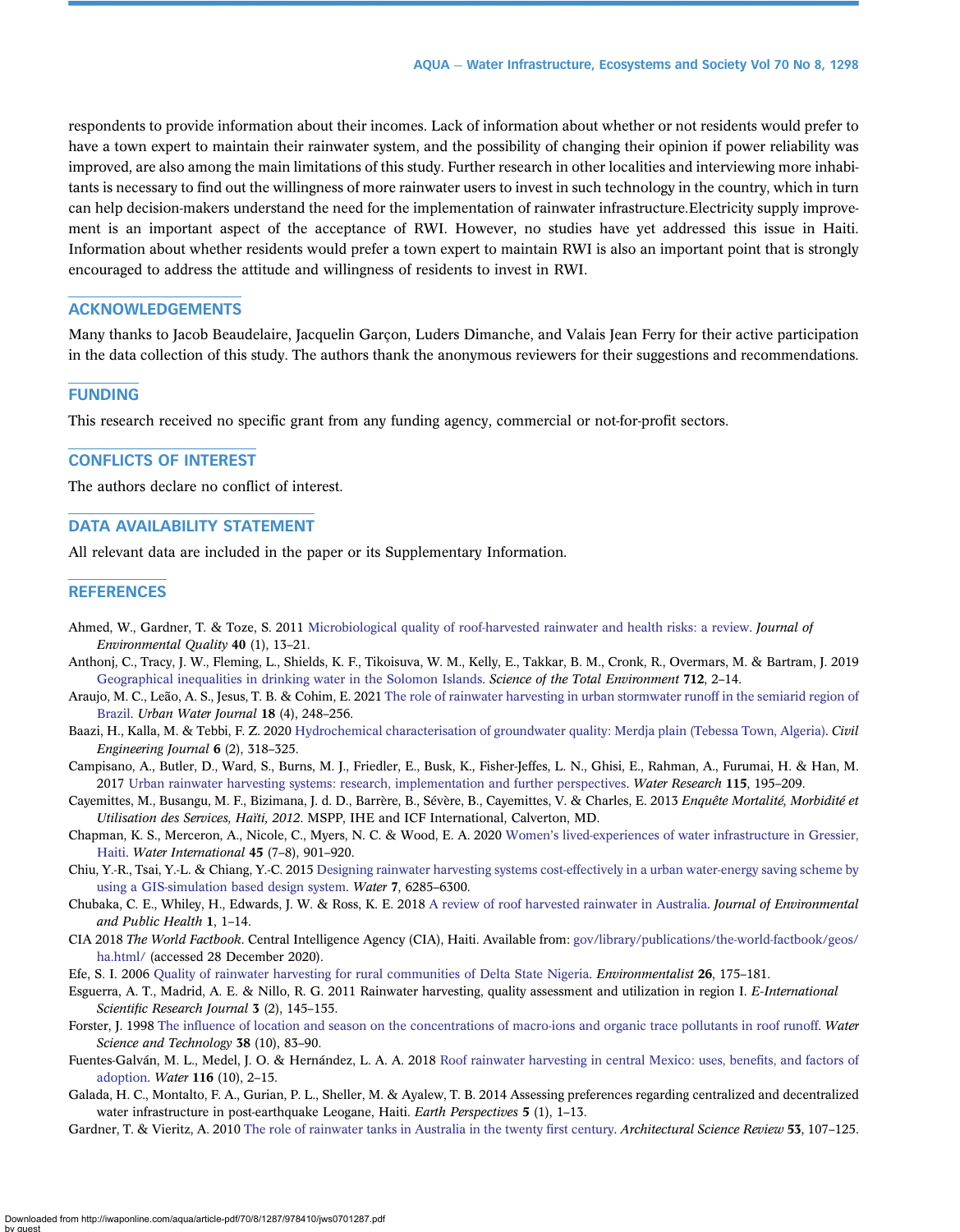<span id="page-11-0"></span>respondents to provide information about their incomes. Lack of information about whether or not residents would prefer to have a town expert to maintain their rainwater system, and the possibility of changing their opinion if power reliability was improved, are also among the main limitations of this study. Further research in other localities and interviewing more inhabitants is necessary to find out the willingness of more rainwater users to invest in such technology in the country, which in turn can help decision-makers understand the need for the implementation of rainwater infrastructure.Electricity supply improvement is an important aspect of the acceptance of RWI. However, no studies have yet addressed this issue in Haiti. Information about whether residents would prefer a town expert to maintain RWI is also an important point that is strongly encouraged to address the attitude and willingness of residents to invest in RWI.

# ACKNOWLEDGEMENTS

Many thanks to Jacob Beaudelaire, Jacquelin Garçon, Luders Dimanche, and Valais Jean Ferry for their active participation in the data collection of this study. The authors thank the anonymous reviewers for their suggestions and recommendations.

#### FUNDING

This research received no specific grant from any funding agency, commercial or not-for-profit sectors.

# CONFLICTS OF INTEREST

The authors declare no conflict of interest.

# DATA AVAILABILITY STATEMENT

All relevant data are included in the paper or its Supplementary Information.

#### **REFERENCES**

- Ahmed, W., Gardner, T. & Toze, S. 2011 [Microbiological quality of roof-harvested rainwater and health risks: a review.](http://dx.doi.org/10.2134/jeq2010.0345) Journal of Environmental Quality 40 (1), 13–21.
- Anthonj, C., Tracy, J. W., Fleming, L., Shields, K. F., Tikoisuva, W. M., Kelly, E., Takkar, B. M., Cronk, R., Overmars, M. & Bartram, J. 2019 [Geographical inequalities in drinking water in the Solomon Islands](http://dx.doi.org/10.1016/j.scitotenv.2019.135241). Science of the Total Environment 712, 2–14.
- Araujo, M. C., Leão, A. S., Jesus, T. B. & Cohim, E. 2021 [The role of rainwater harvesting in urban stormwater runoff in the semiarid region of](http://dx.doi.org/10.1080/1573062X.2021.1877743) [Brazil.](http://dx.doi.org/10.1080/1573062X.2021.1877743) Urban Water Journal 18 (4), 248–256.
- Baazi, H., Kalla, M. & Tebbi, F. Z. 2020 [Hydrochemical characterisation of groundwater quality: Merdja plain \(Tebessa Town, Algeria\)](http://dx.doi.org/10.28991/cej-2020-03091473). Civil Engineering Journal 6 (2), 318–325.
- Campisano, A., Butler, D., Ward, S., Burns, M. J., Friedler, E., Busk, K., Fisher-Jeffes, L. N., Ghisi, E., Rahman, A., Furumai, H. & Han, M. 2017 [Urban rainwater harvesting systems: research, implementation and further perspectives.](http://dx.doi.org/10.1016/j.watres.2017.02.056) Water Research 115, 195–209.
- Cayemittes, M., Busangu, M. F., Bizimana, J. d. D., Barrère, B., Sévère, B., Cayemittes, V. & Charles, E. 2013 Enquête Mortalité, Morbidité et Utilisation des Services, Haïti, 2012. MSPP, IHE and ICF International, Calverton, MD.
- Chapman, K. S., Merceron, A., Nicole, C., Myers, N. C. & Wood, E. A. 2020 Women'[s lived-experiences of water infrastructure in Gressier,](http://dx.doi.org/10.1080/02508060.2020.1839836) [Haiti.](http://dx.doi.org/10.1080/02508060.2020.1839836) Water International 45 (7–8), 901–920.
- Chiu, Y.-R., Tsai, Y.-L. & Chiang, Y.-C. 2015 [Designing rainwater harvesting systems cost-effectively in a urban water-energy saving scheme by](http://dx.doi.org/10.3390/w7116285) [using a GIS-simulation based design system.](http://dx.doi.org/10.3390/w7116285) Water 7, 6285–6300.
- Chubaka, C. E., Whiley, H., Edwards, J. W. & Ross, K. E. 2018 [A review of roof harvested rainwater in Australia](http://dx.doi.org/10.1155/2018/6471324). Journal of Environmental and Public Health 1, 1–14.
- CIA 2018 The World Factbook. Central Intelligence Agency (CIA), Haiti. Available from: [gov/library/publications/the-world-factbook/geos/](http://gov/library/publications/the-world-factbook/geos/ha.html/) [ha.html/](http://gov/library/publications/the-world-factbook/geos/ha.html/) (accessed 28 December 2020).
- Efe, S. I. 2006 [Quality of rainwater harvesting for rural communities of Delta State Nigeria](http://dx.doi.org/10.1007/s10669-006-7829-6). Environmentalist 26, 175–181.
- Esguerra, A. T., Madrid, A. E. & Nillo, R. G. 2011 Rainwater harvesting, quality assessment and utilization in region I. E-International Scientific Research Journal 3 (2), 145-155.
- Forster, J. 1998 The infl[uence of location and season on the concentrations of macro-ions and organic trace pollutants in roof runoff.](http://dx.doi.org/10.2166/wst.1998.0382) Water Science and Technology 38 (10), 83–90.
- Fuentes-Galván, M. L., Medel, J. O. & Hernández, L. A. A. 2018 [Roof rainwater harvesting in central Mexico: uses, bene](http://dx.doi.org/10.3390/w10020116)fits, and factors of [adoption.](http://dx.doi.org/10.3390/w10020116) Water 116 (10), 2–15.
- Galada, H. C., Montalto, F. A., Gurian, P. L., Sheller, M. & Ayalew, T. B. 2014 Assessing preferences regarding centralized and decentralized water infrastructure in post-earthquake Leogane, Haiti. Earth Perspectives 5 (1), 1-13.
- Gardner, T. & Vieritz, A. 2010 [The role of rainwater tanks in Australia in the twenty](http://dx.doi.org/10.3763/asre.2009.0074) first century. Architectural Science Review 53, 107-125.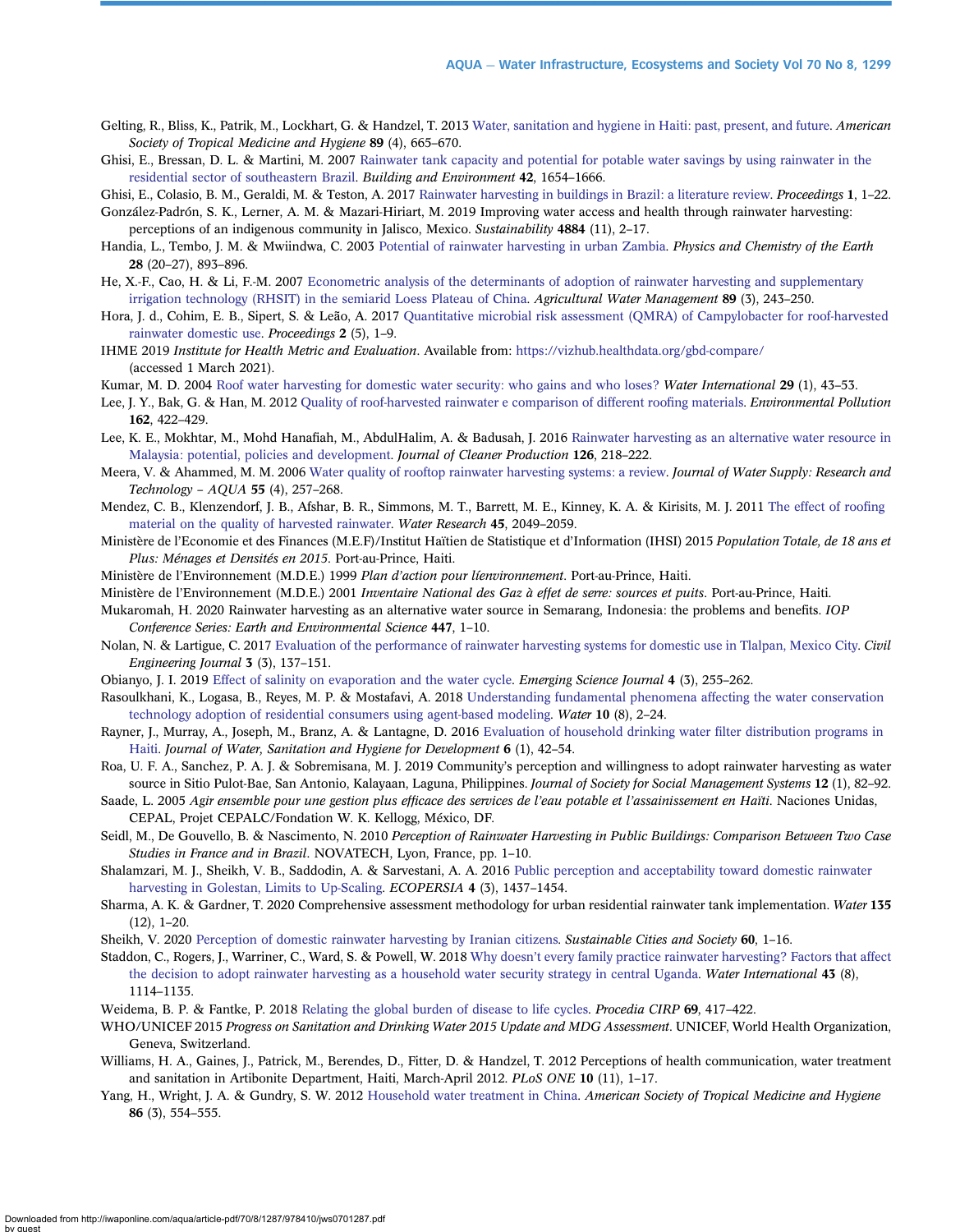- <span id="page-12-0"></span>Gelting, R., Bliss, K., Patrik, M., Lockhart, G. & Handzel, T. 2013 [Water, sanitation and hygiene in Haiti: past, present, and future.](http://dx.doi.org/10.4269/ajtmh.13-0217) American Society of Tropical Medicine and Hygiene 89 (4), 665–670.
- Ghisi, E., Bressan, D. L. & Martini, M. 2007 [Rainwater tank capacity and potential for potable water savings by using rainwater in the](http://dx.doi.org/10.1016/j.buildenv.2006.02.007) [residential sector of southeastern Brazil.](http://dx.doi.org/10.1016/j.buildenv.2006.02.007) Building and Environment 42, 1654–1666.

Ghisi, E., Colasio, B. M., Geraldi, M. & Teston, A. 2017 [Rainwater harvesting in buildings in Brazil: a literature review](http://dx.doi.org/10.3390/proceedings1010001). Proceedings 1, 1-22. González-Padrón, S. K., Lerner, A. M. & Mazari-Hiriart, M. 2019 Improving water access and health through rainwater harvesting:

perceptions of an indigenous community in Jalisco, Mexico. Sustainability 4884 (11), 2–17.

- Handia, L., Tembo, J. M. & Mwiindwa, C. 2003 [Potential of rainwater harvesting in urban Zambia.](http://dx.doi.org/10.1016/j.pce.2003.08.016) Physics and Chemistry of the Earth 28 (20–27), 893–896.
- He, X.-F., Cao, H. & Li, F.-M. 2007 [Econometric analysis of the determinants of adoption of rainwater harvesting and supplementary](http://dx.doi.org/10.1016/j.agwat.2007.01.006) [irrigation technology \(RHSIT\) in the semiarid Loess Plateau of China.](http://dx.doi.org/10.1016/j.agwat.2007.01.006) Agricultural Water Management 89 (3), 243-250.
- Hora, J. d., Cohim, E. B., Sipert, S. & Leão, A. 2017 [Quantitative microbial risk assessment \(QMRA\) of Campylobacter for roof-harvested](http://dx.doi.org/10.3390/ecws-2-04954) [rainwater domestic use.](http://dx.doi.org/10.3390/ecws-2-04954) Proceedings 2 (5), 1–9.
- IHME 2019 Institute for Health Metric and Evaluation. Available from: <https://vizhub.healthdata.org/gbd-compare/> (accessed 1 March 2021).
- Kumar, M. D. 2004 [Roof water harvesting for domestic water security: who gains and who loses?](http://dx.doi.org/10.1080/02508060408691747) Water International 29 (1), 43-53.
- Lee, J. Y., Bak, G. & Han, M. 2012 [Quality of roof-harvested rainwater e comparison of different roo](http://dx.doi.org/10.1016/j.envpol.2011.12.005)fing materials. Environmental Pollution 162, 422–429.
- Lee, K. E., Mokhtar, M., Mohd Hanafiah, M., AbdulHalim, A. & Badusah, J. 2016 [Rainwater harvesting as an alternative water resource in](http://dx.doi.org/10.1016/j.jclepro.2016.03.060) [Malaysia: potential, policies and development](http://dx.doi.org/10.1016/j.jclepro.2016.03.060). Journal of Cleaner Production 126, 218–222.
- Meera, V. & Ahammed, M. M. 2006 [Water quality of rooftop rainwater harvesting systems: a review.](http://dx.doi.org/10.2166/aqua.2006.0010) Journal of Water Supply: Research and Technology – AQUA 55 (4), 257–268.
- Mendez, C. B., Klenzendorf, J. B., Afshar, B. R., Simmons, M. T., Barrett, M. E., Kinney, K. A. & Kirisits, M. J. 2011 [The effect of roo](http://dx.doi.org/10.1016/j.watres.2010.12.015)fing [material on the quality of harvested rainwater](http://dx.doi.org/10.1016/j.watres.2010.12.015). Water Research 45, 2049–2059.
- Ministère de l'Economie et des Finances (M.E.F)/Institut Haïtien de Statistique et d'Information (IHSI) 2015 Population Totale, de 18 ans et Plus: Ménages et Densités en 2015. Port-au-Prince, Haiti.
- Ministère de l'Environnement (M.D.E.) 1999 Plan d'action pour líenvironnement. Port-au-Prince, Haiti.
- Ministère de l'Environnement (M.D.E.) 2001 Inventaire National des Gaz à effet de serre: sources et puits. Port-au-Prince, Haiti.

Mukaromah, H. 2020 Rainwater harvesting as an alternative water source in Semarang, Indonesia: the problems and benefits. IOP Conference Series: Earth and Environmental Science 447, 1–10.

- Nolan, N. & Lartigue, C. 2017 [Evaluation of the performance of rainwater harvesting systems for domestic use in Tlalpan, Mexico City.](http://dx.doi.org/10.28991/cej-2017-00000080) Civil Engineering Journal 3 (3), 137–151.
- Obianyo, J. I. 2019 [Effect of salinity on evaporation and the water cycle](http://dx.doi.org/10.28991/esj-2019-01188). Emerging Science Journal 4 (3), 255–262.
- Rasoulkhani, K., Logasa, B., Reyes, M. P. & Mostafavi, A. 2018 [Understanding fundamental phenomena affecting the water conservation](http://dx.doi.org/10.3390/w10080993) [technology adoption of residential consumers using agent-based modeling.](http://dx.doi.org/10.3390/w10080993) Water 10 (8), 2–24.
- Rayner, J., Murray, A., Joseph, M., Branz, A. & Lantagne, D. 2016 [Evaluation of household drinking water](http://dx.doi.org/10.2166/washdev.2016.121) filter distribution programs in [Haiti](http://dx.doi.org/10.2166/washdev.2016.121). Journal of Water, Sanitation and Hygiene for Development 6 (1), 42–54.
- Roa, U. F. A., Sanchez, P. A. J. & Sobremisana, M. J. 2019 Community's perception and willingness to adopt rainwater harvesting as water source in Sitio Pulot-Bae, San Antonio, Kalayaan, Laguna, Philippines. Journal of Society for Social Management Systems 12 (1), 82–92.
- Saade, L. 2005 Agir ensemble pour une gestion plus efficace des services de l'eau potable et l'assainissement en Haïti. Naciones Unidas, CEPAL, Projet CEPALC/Fondation W. K. Kellogg, México, DF.
- Seidl, M., De Gouvello, B. & Nascimento, N. 2010 Perception of Rainwater Harvesting in Public Buildings: Comparison Between Two Case Studies in France and in Brazil. NOVATECH, Lyon, France, pp. 1–10.
- Shalamzari, M. J., Sheikh, V. B., Saddodin, A. & Sarvestani, A. A. 2016 [Public perception and acceptability toward domestic rainwater](http://dx.doi.org/10.18869/modares.ecopersia.4.3.1437) [harvesting in Golestan, Limits to Up-Scaling.](http://dx.doi.org/10.18869/modares.ecopersia.4.3.1437) ECOPERSIA 4 (3), 1437–1454.
- Sharma, A. K. & Gardner, T. 2020 Comprehensive assessment methodology for urban residential rainwater tank implementation. Water 135 (12), 1–20.
- Sheikh, V. 2020 [Perception of domestic rainwater harvesting by Iranian citizens](http://dx.doi.org/10.1016/j.scs.2020.102278). Sustainable Cities and Society 60, 1-16.
- Staddon, C., Rogers, J., Warriner, C., Ward, S. & Powell, W. 2018 Why doesn'[t every family practice rainwater harvesting? Factors that affect](http://dx.doi.org/10.1080/02508060.2018.1535417) [the decision to adopt rainwater harvesting as a household water security strategy in central Uganda](http://dx.doi.org/10.1080/02508060.2018.1535417). Water International 43 (8), 1114–1135.
- Weidema, B. P. & Fantke, P. 2018 [Relating the global burden of disease to life cycles](http://dx.doi.org/10.1016/j.procir.2017.10.002). Procedia CIRP 69, 417-422.
- WHO/UNICEF 2015 Progress on Sanitation and Drinking Water 2015 Update and MDG Assessment. UNICEF, World Health Organization, Geneva, Switzerland.
- Williams, H. A., Gaines, J., Patrick, M., Berendes, D., Fitter, D. & Handzel, T. 2012 Perceptions of health communication, water treatment and sanitation in Artibonite Department, Haiti, March-April 2012. PLoS ONE 10 (11), 1–17.
- Yang, H., Wright, J. A. & Gundry, S. W. 2012 [Household water treatment in China.](http://dx.doi.org/10.4269/ajtmh.2012.11-0730a) American Society of Tropical Medicine and Hygiene 86 (3), 554–555.